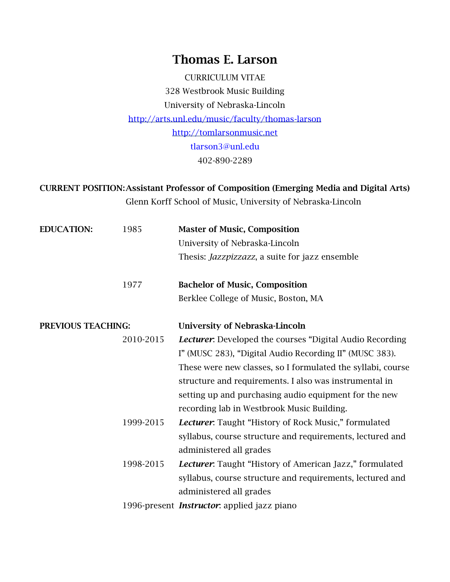# Thomas E. Larson

CURRICULUM VITAE 328 Westbrook Music Building University of Nebraska-Lincoln <http://arts.unl.edu/music/faculty/thomas-larson> [http://tomlarsonmusic.net](http://tomlarsonmusic.net/) [tlarson3@unl.edu](mailto:tlarson3@unl.edu) 402-890-2289

CURRENT POSITION:Assistant Professor of Composition (Emerging Media and Digital Arts) Glenn Korff School of Music, University of Nebraska-Lincoln

| <b>EDUCATION:</b>         | 1985      | <b>Master of Music, Composition</b><br>University of Nebraska-Lincoln<br>Thesis: <i>Jazzpizzazz</i> , a suite for jazz ensemble |
|---------------------------|-----------|---------------------------------------------------------------------------------------------------------------------------------|
|                           | 1977      | <b>Bachelor of Music, Composition</b>                                                                                           |
|                           |           | Berklee College of Music, Boston, MA                                                                                            |
| <b>PREVIOUS TEACHING:</b> |           | <b>University of Nebraska-Lincoln</b>                                                                                           |
|                           | 2010-2015 | <b>Lecturer.</b> Developed the courses "Digital Audio Recording                                                                 |
|                           |           | I" (MUSC 283), "Digital Audio Recording II" (MUSC 383).                                                                         |
|                           |           | These were new classes, so I formulated the syllabi, course                                                                     |
|                           |           | structure and requirements. I also was instrumental in                                                                          |
|                           |           | setting up and purchasing audio equipment for the new                                                                           |
|                           |           | recording lab in Westbrook Music Building.                                                                                      |
|                           | 1999-2015 | <b>Lecturer:</b> Taught "History of Rock Music," formulated                                                                     |
|                           |           | syllabus, course structure and requirements, lectured and                                                                       |
|                           |           | administered all grades                                                                                                         |
|                           | 1998-2015 | <b>Lecturer.</b> Taught "History of American Jazz," formulated                                                                  |
|                           |           | syllabus, course structure and requirements, lectured and                                                                       |
|                           |           | administered all grades                                                                                                         |
|                           |           | 1996-present <i>Instructor</i> : applied jazz piano                                                                             |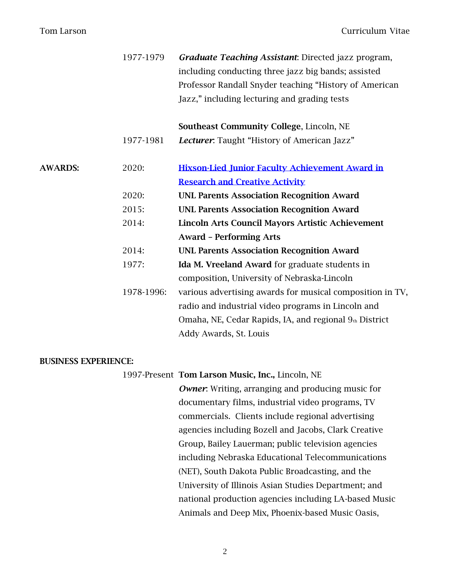|                | 1977-1979  | Graduate Teaching Assistant: Directed jazz program,<br>including conducting three jazz big bands; assisted |
|----------------|------------|------------------------------------------------------------------------------------------------------------|
|                |            | Professor Randall Snyder teaching "History of American                                                     |
|                |            | Jazz," including lecturing and grading tests                                                               |
|                |            | Southeast Community College, Lincoln, NE                                                                   |
|                | 1977-1981  | Lecturer. Taught "History of American Jazz"                                                                |
| <b>AWARDS:</b> | 2020:      | <b>Hixson-Lied Junior Faculty Achievement Award in</b>                                                     |
|                |            | <b>Research and Creative Activity</b>                                                                      |
|                | 2020:      | <b>UNL Parents Association Recognition Award</b>                                                           |
|                | 2015:      | <b>UNL Parents Association Recognition Award</b>                                                           |
|                | 2014:      | Lincoln Arts Council Mayors Artistic Achievement                                                           |
|                |            | <b>Award - Performing Arts</b>                                                                             |
|                | 2014:      | <b>UNL Parents Association Recognition Award</b>                                                           |
|                | 1977:      | Ida M. Vreeland Award for graduate students in                                                             |
|                |            | composition, University of Nebraska-Lincoln                                                                |
|                | 1978-1996: | various advertising awards for musical composition in TV,                                                  |
|                |            | radio and industrial video programs in Lincoln and                                                         |
|                |            | Omaha, NE, Cedar Rapids, IA, and regional 9th District                                                     |
|                |            | Addy Awards, St. Louis                                                                                     |

#### BUSINESS EXPERIENCE:

1997-Present Tom Larson Music, Inc., Lincoln, NE

*Owner*: Writing, arranging and producing music for documentary films, industrial video programs, TV commercials. Clients include regional advertising agencies including Bozell and Jacobs, Clark Creative Group, Bailey Lauerman; public television agencies including Nebraska Educational Telecommunications (NET), South Dakota Public Broadcasting, and the University of Illinois Asian Studies Department; and national production agencies including LA-based Music Animals and Deep Mix, Phoenix-based Music Oasis,

2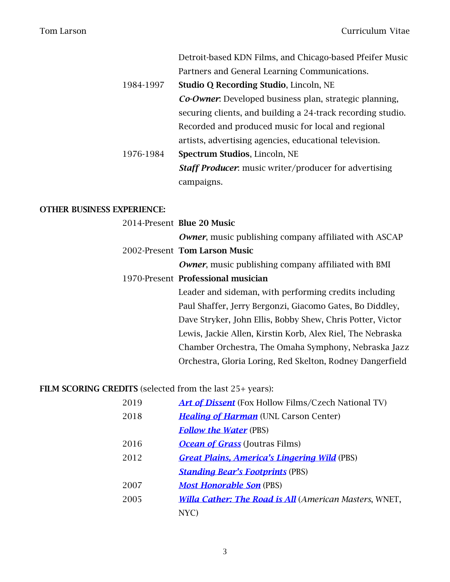|           | Detroit-based KDN Films, and Chicago-based Pfeifer Music      |
|-----------|---------------------------------------------------------------|
|           | Partners and General Learning Communications.                 |
| 1984-1997 | <b>Studio Q Recording Studio, Lincoln, NE</b>                 |
|           | <b>Co-Owner:</b> Developed business plan, strategic planning, |
|           | securing clients, and building a 24-track recording studio.   |
|           | Recorded and produced music for local and regional            |
|           | artists, advertising agencies, educational television.        |
| 1976-1984 | Spectrum Studios, Lincoln, NE                                 |
|           | <b>Staff Producer.</b> music writer/producer for advertising  |
|           | campaigns.                                                    |

# OTHER BUSINESS EXPERIENCE:

| 2014-Present Blue 20 Music                                   |
|--------------------------------------------------------------|
| <b>Owner, music publishing company affiliated with ASCAP</b> |
| 2002-Present Tom Larson Music                                |
| <b>Owner, music publishing company affiliated with BMI</b>   |
| 1970-Present Professional musician                           |
| Leader and sideman, with performing credits including        |
| Paul Shaffer, Jerry Bergonzi, Giacomo Gates, Bo Diddley,     |
| Dave Stryker, John Ellis, Bobby Shew, Chris Potter, Victor   |
| Lewis, Jackie Allen, Kirstin Korb, Alex Riel, The Nebraska   |
| Chamber Orchestra, The Omaha Symphony, Nebraska Jazz         |
| Orchestra, Gloria Loring, Red Skelton, Rodney Dangerfield    |

# FILM SCORING CREDITS (selected from the last 25+ years):

| 2019 | <b>Art of Dissent</b> (Fox Hollow Films/Czech National TV)    |
|------|---------------------------------------------------------------|
| 2018 | <b>Healing of Harman</b> (UNL Carson Center)                  |
|      | <b>Follow the Water (PBS)</b>                                 |
| 2016 | <b>Ocean of Grass</b> (Joutras Films)                         |
| 2012 | <b>Great Plains, America's Lingering Wild (PBS)</b>           |
|      | <b>Standing Bear's Footprints (PBS)</b>                       |
| 2007 | <b>Most Honorable Son</b> (PBS)                               |
| 2005 | <b>Willa Cather: The Road is All (American Masters, WNET,</b> |
|      | NYC)                                                          |
|      |                                                               |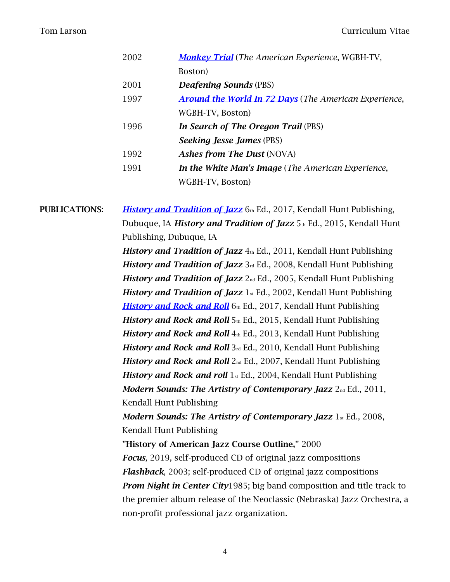| 2002 | <b>Monkey Trial</b> (The American Experience, WGBH-TV,       |
|------|--------------------------------------------------------------|
|      | Boston)                                                      |
| 2001 | <b>Deafening Sounds (PBS)</b>                                |
| 1997 | <b>Around the World In 72 Days</b> (The American Experience, |
|      | WGBH-TV, Boston)                                             |
| 1996 | In Search of The Oregon Trail (PBS)                          |
|      | <b>Seeking Jesse James (PBS)</b>                             |
| 1992 | <b>Ashes from The Dust (NOVA)</b>                            |
| 1991 | <b>In the White Man's Image</b> (The American Experience,    |
|      | WGBH-TV, Boston)                                             |

**PUBLICATIONS:** *[History and Tradition of Jazz](https://he.kendallhunt.com/product/history-and-tradition-jazz-0)* 6th Ed., 2017, Kendall Hunt Publishing, Dubuque, IA *History and Tradition of Jazz* 5th Ed., 2015, Kendall Hunt Publishing, Dubuque, IA *History and Tradition of Jazz* 4th Ed., 2011, Kendall Hunt Publishing

*History and Tradition of Jazz* 3rd Ed., 2008, Kendall Hunt Publishing *History and Tradition of Jazz* 2<sub>nd</sub> Ed., 2005, Kendall Hunt Publishing *History and Tradition of Jazz* 1<sub>st</sub> Ed., 2002, Kendall Hunt Publishing *[History and Rock and Roll](https://he.kendallhunt.com/product/history-rock-and-roll-2)* 6th Ed., 2017, Kendall Hunt Publishing *History and Rock and Roll* 5th Ed., 2015, Kendall Hunt Publishing *History and Rock and Roll* 4th Ed., 2013, Kendall Hunt Publishing *History and Rock and Roll* 3rd Ed., 2010, Kendall Hunt Publishing *History and Rock and Roll* 2<sub>nd</sub> Ed., 2007, Kendall Hunt Publishing *History and Rock and roll* 1st Ed., 2004, Kendall Hunt Publishing *Modern Sounds: The Artistry of Contemporary Jazz* 2nd Ed., 2011, Kendall Hunt Publishing

*Modern Sounds: The Artistry of Contemporary Jazz* 1st Ed., 2008, Kendall Hunt Publishing

"History of American Jazz Course Outline," 2000 *Focus,* 2019, self-produced CD of original jazz compositions *Flashback*, 2003; self-produced CD of original jazz compositions *Prom Night in Center City*1985; big band composition and title track to the premier album release of the Neoclassic (Nebraska) Jazz Orchestra, a non-profit professional jazz organization.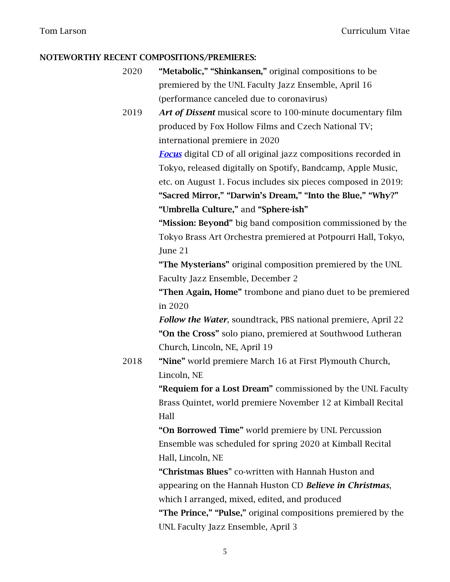## NOTEWORTHY RECENT COMPOSITIONS/PREMIERES:

- 2020 "Metabolic," "Shinkansen," original compositions to be premiered by the UNL Faculty Jazz Ensemble, April 16 (performance canceled due to coronavirus)
- 2019 *Art of Dissent* musical score to 100-minute documentary film produced by Fox Hollow Films and Czech National TV; international premiere in 2020

*[Focus](https://tomlarson.bandcamp.com/releases)* digital CD of all original jazz compositions recorded in Tokyo, released digitally on Spotify, Bandcamp, Apple Music, etc. on August 1. Focus includes six pieces composed in 2019: "Sacred Mirror," "Darwin's Dream," "Into the Blue," "Why?"

"Umbrella Culture," and "Sphere-ish"

"Mission: Beyond" big band composition commissioned by the Tokyo Brass Art Orchestra premiered at Potpourri Hall, Tokyo, June 21

"The Mysterians" original composition premiered by the UNL Faculty Jazz Ensemble, December 2

"Then Again, Home" trombone and piano duet to be premiered in 2020

*Follow the Water*, soundtrack, PBS national premiere, April 22 "On the Cross" solo piano, premiered at Southwood Lutheran Church, Lincoln, NE, April 19

2018 "Nine" world premiere March 16 at First Plymouth Church, Lincoln, NE

> "Requiem for a Lost Dream" commissioned by the UNL Faculty Brass Quintet, world premiere November 12 at Kimball Recital Hall

"On Borrowed Time" world premiere by UNL Percussion Ensemble was scheduled for spring 2020 at Kimball Recital Hall, Lincoln, NE

"Christmas Blues" co-written with Hannah Huston and appearing on the Hannah Huston CD *Believe in Christmas*, which I arranged, mixed, edited, and produced "The Prince," "Pulse," original compositions premiered by the UNL Faculty Jazz Ensemble, April 3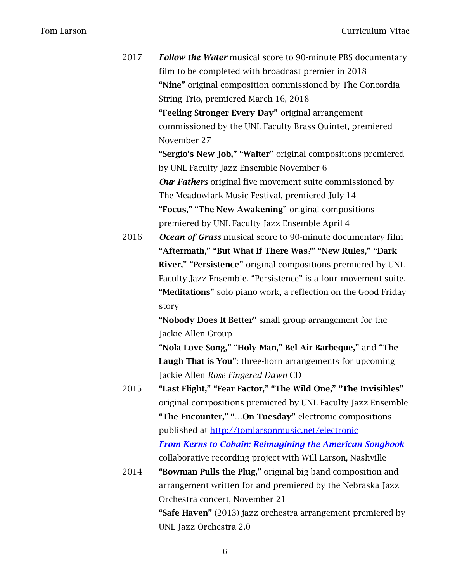| 2017 | Follow the Water musical score to 90-minute PBS documentary       |
|------|-------------------------------------------------------------------|
|      | film to be completed with broadcast premier in 2018               |
|      | "Nine" original composition commissioned by The Concordia         |
|      | String Trio, premiered March 16, 2018                             |
|      | "Feeling Stronger Every Day" original arrangement                 |
|      | commissioned by the UNL Faculty Brass Quintet, premiered          |
|      | November 27                                                       |
|      | "Sergio's New Job," "Walter" original compositions premiered      |
|      | by UNL Faculty Jazz Ensemble November 6                           |
|      | <b>Our Fathers</b> original five movement suite commissioned by   |
|      | The Meadowlark Music Festival, premiered July 14                  |
|      | "Focus," "The New Awakening" original compositions                |
|      | premiered by UNL Faculty Jazz Ensemble April 4                    |
| 2016 | <b>Ocean of Grass</b> musical score to 90-minute documentary film |
|      | "Aftermath," "But What If There Was?" "New Rules," "Dark          |
|      | River," "Persistence" original compositions premiered by UNL      |
|      | Faculty Jazz Ensemble. "Persistence" is a four-movement suite.    |
|      | "Meditations" solo piano work, a reflection on the Good Friday    |
|      | story                                                             |
|      | "Nobody Does It Better" small group arrangement for the           |
|      | Jackie Allen Group                                                |
|      | "Nola Love Song," "Holy Man," Bel Air Barbeque," and "The         |
|      | Laugh That is You": three-horn arrangements for upcoming          |
|      | Jackie Allen Rose Fingered Dawn CD                                |
| 2015 | "Last Flight," "Fear Factor," "The Wild One," "The Invisibles"    |
|      | original compositions premiered by UNL Faculty Jazz Ensemble      |
|      | "The Encounter," "On Tuesday" electronic compositions             |
|      | published at http://tomlarsonmusic.net/electronic                 |
|      | <b>From Kerns to Cobain: Reimagining the American Songbook</b>    |
|      | collaborative recording project with Will Larson, Nashville       |
| 2014 | "Bowman Pulls the Plug," original big band composition and        |
|      | arrangement written for and premiered by the Nebraska Jazz        |
|      | Orchestra concert, November 21                                    |

"Safe Haven" (2013) jazz orchestra arrangement premiered by UNL Jazz Orchestra 2.0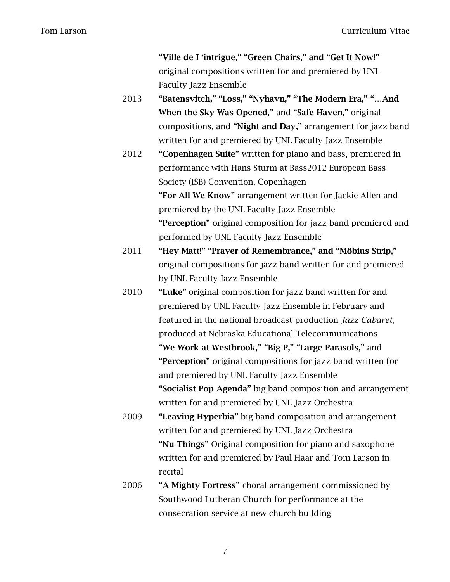"Ville de I 'intrigue," "Green Chairs," and "Get It Now!" original compositions written for and premiered by UNL Faculty Jazz Ensemble

- 2013 "Batensvitch," "Loss," "Nyhavn," "The Modern Era," "…And When the Sky Was Opened," and "Safe Haven," original compositions, and "Night and Day," arrangement for jazz band written for and premiered by UNL Faculty Jazz Ensemble
- 2012 "Copenhagen Suite" written for piano and bass, premiered in performance with Hans Sturm at Bass2012 European Bass Society (ISB) Convention, Copenhagen "For All We Know" arrangement written for Jackie Allen and premiered by the UNL Faculty Jazz Ensemble "Perception" original composition for jazz band premiered and performed by UNL Faculty Jazz Ensemble
- 2011 "Hey Matt!" "Prayer of Remembrance," and "Möbius Strip," original compositions for jazz band written for and premiered by UNL Faculty Jazz Ensemble
- 2010 **"Luke"** original composition for jazz band written for and premiered by UNL Faculty Jazz Ensemble in February and featured in the national broadcast production *Jazz Cabaret*, produced at Nebraska Educational Telecommunications "We Work at Westbrook," "Big P," "Large Parasols," and "Perception" original compositions for jazz band written for and premiered by UNL Faculty Jazz Ensemble "Socialist Pop Agenda" big band composition and arrangement written for and premiered by UNL Jazz Orchestra
- 2009 "Leaving Hyperbia" big band composition and arrangement written for and premiered by UNL Jazz Orchestra "Nu Things" Original composition for piano and saxophone written for and premiered by Paul Haar and Tom Larson in recital
- 2006 "A Mighty Fortress" choral arrangement commissioned by Southwood Lutheran Church for performance at the consecration service at new church building
	- 7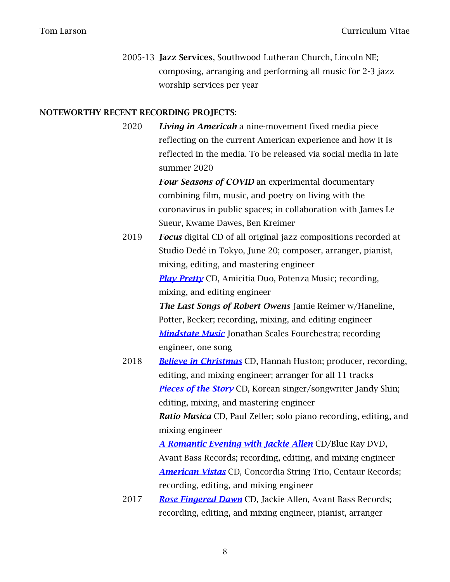2005-13 Jazz Services, Southwood Lutheran Church, Lincoln NE; composing, arranging and performing all music for 2-3 jazz worship services per year

### NOTEWORTHY RECENT RECORDING PROJECTS:

2020 *Living in Americah* a nine-movement fixed media piece reflecting on the current American experience and how it is reflected in the media. To be released via social media in late summer 2020

> *Four Seasons of COVID* an experimental documentary combining film, music, and poetry on living with the coronavirus in public spaces; in collaboration with James Le Sueur, Kwame Dawes, Ben Kreimer

2019 *Focus* digital CD of all original jazz compositions recorded at Studio Dedé in Tokyo, June 20; composer, arranger, pianist, mixing, editing, and mastering engineer *[Play Pretty](https://news.unl.edu/newsrooms/today/article/barger-s-amicitia-duo-releases-play-pretty/)* CD, Amicitia Duo, Potenza Music; recording, mixing, and editing engineer

> *The Last Songs of Robert Owens* Jamie Reimer w/Haneline, Potter, Becker; recording, mixing, and editing engineer *[Mindstate Music](https://jsfstore.bandcamp.com/album/mindstate-music)* Jonathan Scales Fourchestra; recording engineer, one song

2018 *[Believe in Christmas](http://www.hannahhuston.co/merch/believeinchristmas)* CD, Hannah Huston; producer, recording, editing, and mixing engineer; arranger for all 11 tracks *[Pieces of the Story](https://www.facebook.com/486246691879107/posts/510413289462447/)* CD, Korean singer/songwriter Jandy Shin; editing, mixing, and mastering engineer

> *Ratio Musíca* CD, Paul Zeller; solo piano recording, editing, and mixing engineer

*[A Romantic Evening with Jackie Allen](https://unl.app.box.com/file/396485975347)* CD/Blue Ray DVD, Avant Bass Records; recording, editing, and mixing engineer *[American Vistas](https://artmusiclounge.wordpress.com/2018/07/30/the-concordia-trio-explores-american-vistas/)* CD, Concordia String Trio, Centaur Records; recording, editing, and mixing engineer

2017 *[Rose Fingered Dawn](https://www.youtube.com/watch?time_continue=5&v=hBpji5sNcic&feature=emb_logo)* CD, Jackie Allen, Avant Bass Records; recording, editing, and mixing engineer, pianist, arranger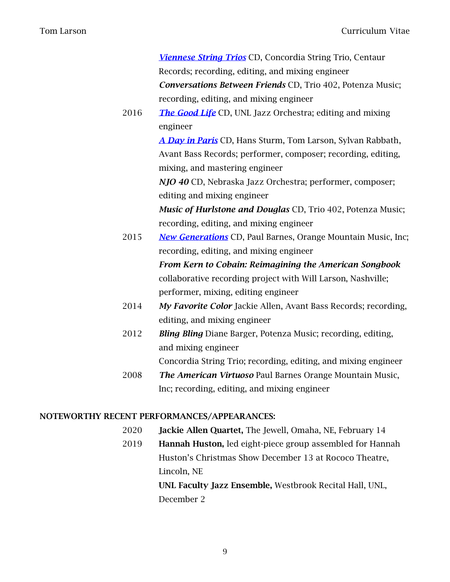|      | Viennese String Trios CD, Concordia String Trio, Centaur            |
|------|---------------------------------------------------------------------|
|      | Records; recording, editing, and mixing engineer                    |
|      | Conversations Between Friends CD, Trio 402, Potenza Music;          |
|      | recording, editing, and mixing engineer                             |
| 2016 | <b>The Good Life</b> CD, UNL Jazz Orchestra; editing and mixing     |
|      | engineer                                                            |
|      | A Day in Paris CD, Hans Sturm, Tom Larson, Sylvan Rabbath,          |
|      | Avant Bass Records; performer, composer; recording, editing,        |
|      | mixing, and mastering engineer                                      |
|      | NJO 40 CD, Nebraska Jazz Orchestra; performer, composer;            |
|      | editing and mixing engineer                                         |
|      | Music of Hurlstone and Douglas CD, Trio 402, Potenza Music;         |
|      | recording, editing, and mixing engineer                             |
| 2015 | <b>New Generations</b> CD, Paul Barnes, Orange Mountain Music, Inc; |
|      | recording, editing, and mixing engineer                             |
|      | From Kern to Cobain: Reimagining the American Songbook              |
|      | collaborative recording project with Will Larson, Nashville;        |
|      | performer, mixing, editing engineer                                 |
| 2014 | My Favorite Color Jackie Allen, Avant Bass Records; recording,      |
|      | editing, and mixing engineer                                        |
| 2012 | <b>Bling Bling</b> Diane Barger, Potenza Music; recording, editing, |
|      | and mixing engineer                                                 |
|      | Concordia String Trio; recording, editing, and mixing engineer      |
| 2008 | The American Virtuoso Paul Barnes Orange Mountain Music,            |
|      | Inc; recording, editing, and mixing engineer                        |
|      |                                                                     |

# NOTEWORTHY RECENT PERFORMANCES/APPEARANCES:

- 2020 Jackie Allen Quartet, The Jewell, Omaha, NE, February 14
- 2019 Hannah Huston, led eight-piece group assembled for Hannah Huston's Christmas Show December 13 at Rococo Theatre, Lincoln, NE

UNL Faculty Jazz Ensemble, Westbrook Recital Hall, UNL, December 2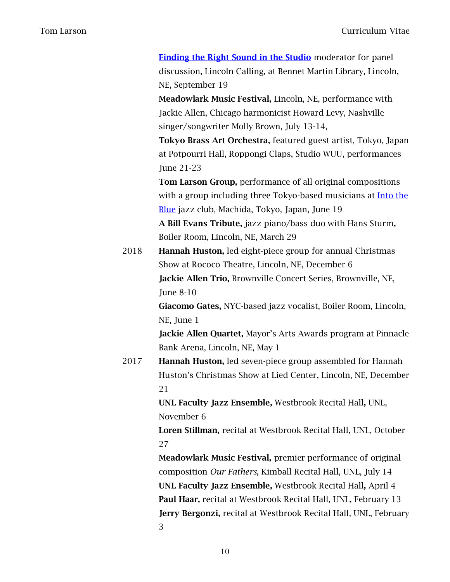[Finding the Right Sound in the Studio](https://www.facebook.com/LincolnCalling/photos/a.867396526605680/3258077137537595/?type=3&theater) moderator for panel discussion, Lincoln Calling, at Bennet Martin Library, Lincoln, NE, September 19

Meadowlark Music Festival, Lincoln, NE, performance with Jackie Allen, Chicago harmonicist Howard Levy, Nashville singer/songwriter Molly Brown, July 13-14,

Tokyo Brass Art Orchestra, featured guest artist, Tokyo, Japan at Potpourri Hall, Roppongi Claps, Studio WUU, performances June 21-23

Tom Larson Group, performance of all original compositions with a group including three Tokyo-based musicians at Into the [Blue](http://intotheblue.info/event/4295?instance_id=26904853) jazz club, Machida, Tokyo, Japan, June 19 A Bill Evans Tribute, jazz piano/bass duo with Hans Sturm,

Boiler Room, Lincoln, NE, March 29

2018 Hannah Huston, led eight-piece group for annual Christmas Show at Rococo Theatre, Lincoln, NE, December 6 Jackie Allen Trio, Brownville Concert Series, Brownville, NE, June 8-10

> Giacomo Gates, NYC-based jazz vocalist, Boiler Room, Lincoln, NE, June 1

Jackie Allen Quartet, Mayor's Arts Awards program at Pinnacle Bank Arena, Lincoln, NE, May 1

2017 **Hannah Huston,** led seven-piece group assembled for Hannah Huston's Christmas Show at Lied Center, Lincoln, NE, December 21

> UNL Faculty Jazz Ensemble, Westbrook Recital Hall, UNL, November 6

Loren Stillman, recital at Westbrook Recital Hall, UNL, October 27

Meadowlark Music Festival, premier performance of original composition *Our Fathers*, Kimball Recital Hall, UNL, July 14 UNL Faculty Jazz Ensemble, Westbrook Recital Hall, April 4 Paul Haar, recital at Westbrook Recital Hall, UNL, February 13 Jerry Bergonzi, recital at Westbrook Recital Hall, UNL, February 3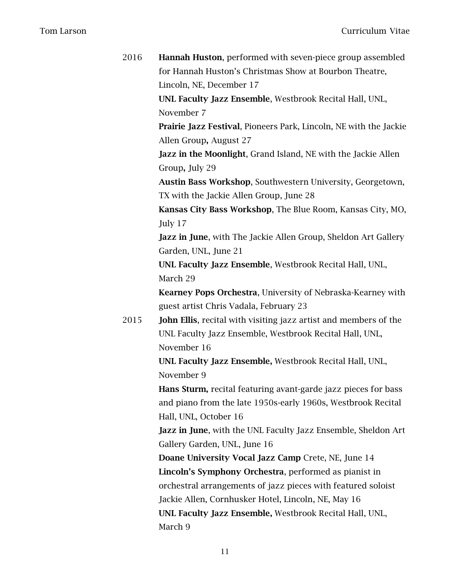| 2016 | <b>Hannah Huston, performed with seven-piece group assembled</b><br>for Hannah Huston's Christmas Show at Bourbon Theatre,<br>Lincoln, NE, December 17 |
|------|--------------------------------------------------------------------------------------------------------------------------------------------------------|
|      | UNL Faculty Jazz Ensemble, Westbrook Recital Hall, UNL,                                                                                                |
|      | November 7                                                                                                                                             |
|      | <b>Prairie Jazz Festival, Pioneers Park, Lincoln, NE with the Jackie</b>                                                                               |
|      | Allen Group, August 27                                                                                                                                 |
|      | <b>Jazz in the Moonlight, Grand Island, NE with the Jackie Allen</b><br>Group, July 29                                                                 |
|      |                                                                                                                                                        |
|      | Austin Bass Workshop, Southwestern University, Georgetown,<br>TX with the Jackie Allen Group, June 28                                                  |
|      |                                                                                                                                                        |
|      | Kansas City Bass Workshop, The Blue Room, Kansas City, MO,                                                                                             |
|      | July 17                                                                                                                                                |
|      | <b>Jazz in June, with The Jackie Allen Group, Sheldon Art Gallery</b>                                                                                  |
|      | Garden, UNL, June 21                                                                                                                                   |
|      | UNL Faculty Jazz Ensemble, Westbrook Recital Hall, UNL,<br>March 29                                                                                    |
|      |                                                                                                                                                        |
|      | <b>Kearney Pops Orchestra, University of Nebraska-Kearney with</b>                                                                                     |
|      | guest artist Chris Vadala, February 23                                                                                                                 |
| 2015 | <b>John Ellis, recital with visiting jazz artist and members of the</b>                                                                                |
|      | UNL Faculty Jazz Ensemble, Westbrook Recital Hall, UNL,<br>November 16                                                                                 |
|      | UNL Faculty Jazz Ensemble, Westbrook Recital Hall, UNL,                                                                                                |
|      | November 9                                                                                                                                             |
|      | <b>Hans Sturm, recital featuring avant-garde jazz pieces for bass</b>                                                                                  |
|      | and piano from the late 1950s-early 1960s, Westbrook Recital                                                                                           |
|      | Hall, UNL, October 16                                                                                                                                  |
|      | <b>Jazz in June, with the UNL Faculty Jazz Ensemble, Sheldon Art</b>                                                                                   |
|      | Gallery Garden, UNL, June 16                                                                                                                           |
|      | Doane University Vocal Jazz Camp Crete, NE, June 14                                                                                                    |
|      | Lincoln's Symphony Orchestra, performed as pianist in                                                                                                  |
|      | orchestral arrangements of jazz pieces with featured soloist                                                                                           |
|      | Jackie Allen, Cornhusker Hotel, Lincoln, NE, May 16                                                                                                    |
|      | UNL Faculty Jazz Ensemble, Westbrook Recital Hall, UNL,                                                                                                |
|      | March 9                                                                                                                                                |
|      |                                                                                                                                                        |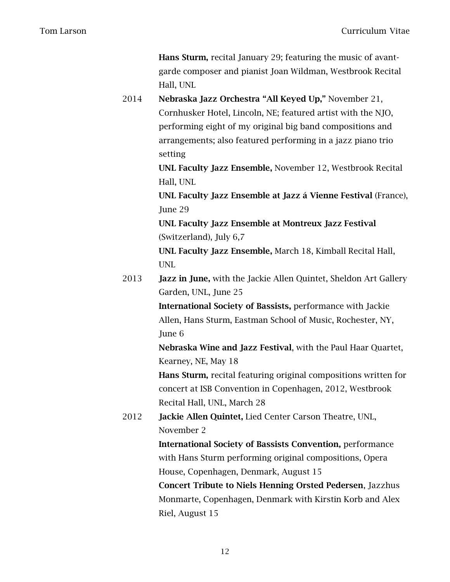Hans Sturm, recital January 29; featuring the music of avantgarde composer and pianist Joan Wildman, Westbrook Recital Hall, UNL

2014 Nebraska Jazz Orchestra "All Keyed Up," November 21, Cornhusker Hotel, Lincoln, NE; featured artist with the NJO, performing eight of my original big band compositions and arrangements; also featured performing in a jazz piano trio setting

> UNL Faculty Jazz Ensemble, November 12, Westbrook Recital Hall, UNL

UNL Faculty Jazz Ensemble at Jazz á Vienne Festival (France), June 29

UNL Faculty Jazz Ensemble at Montreux Jazz Festival (Switzerland), July 6,7

UNL Faculty Jazz Ensemble, March 18, Kimball Recital Hall, UNL

2013 **Jazz in June,** with the Jackie Allen Quintet, Sheldon Art Gallery Garden, UNL, June 25

> International Society of Bassists, performance with Jackie Allen, Hans Sturm, Eastman School of Music, Rochester, NY, June 6

Nebraska Wine and Jazz Festival, with the Paul Haar Quartet, Kearney, NE, May 18

Hans Sturm, recital featuring original compositions written for concert at ISB Convention in Copenhagen, 2012, Westbrook Recital Hall, UNL, March 28

2012 Jackie Allen Quintet, Lied Center Carson Theatre, UNL, November 2

> International Society of Bassists Convention, performance with Hans Sturm performing original compositions, Opera House, Copenhagen, Denmark, August 15

Concert Tribute to Niels Henning Orsted Pedersen, Jazzhus Monmarte, Copenhagen, Denmark with Kirstin Korb and Alex Riel, August 15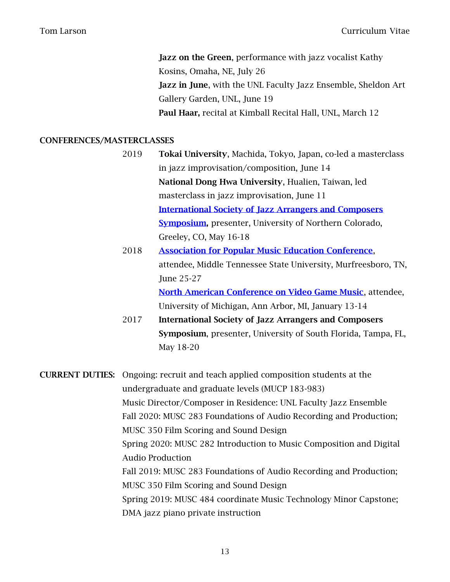**Jazz on the Green, performance with jazz vocalist Kathy** Kosins, Omaha, NE, July 26 Jazz in June, with the UNL Faculty Jazz Ensemble, Sheldon Art Gallery Garden, UNL, June 19 Paul Haar, recital at Kimball Recital Hall, UNL, March 12

# CONFERENCES/MASTERCLASSES

- 2019 Tokai University, Machida, Tokyo, Japan, co-led a masterclass in jazz improvisation/composition, June 14 National Dong Hwa University, Hualien, Taiwan, led masterclass in jazz improvisation, June 11 [International Society of Jazz Arrangers and Composers](https://isjac.org/)  [Symposium,](https://isjac.org/) presenter, University of Northern Colorado, Greeley, CO, May 16-18
- 2018 [Association for Popular Music Education Conference](https://www.popularmusiceducation.org/), attendee, Middle Tennessee State University, Murfreesboro, TN, June 25-27 [North American Conference on Video Game Music](https://smtd.umich.edu/performances-events/north-american-conference-on-video-game-music/), attendee, University of Michigan, Ann Arbor, MI, January 13-14
- 2017 International Society of Jazz Arrangers and Composers Symposium, presenter, University of South Florida, Tampa, FL, May 18-20

CURRENT DUTIES: Ongoing: recruit and teach applied composition students at the undergraduate and graduate levels (MUCP 183-983) Music Director/Composer in Residence: UNL Faculty Jazz Ensemble Fall 2020: MUSC 283 Foundations of Audio Recording and Production; MUSC 350 Film Scoring and Sound Design Spring 2020: MUSC 282 Introduction to Music Composition and Digital Audio Production Fall 2019: MUSC 283 Foundations of Audio Recording and Production; MUSC 350 Film Scoring and Sound Design Spring 2019: MUSC 484 coordinate Music Technology Minor Capstone; DMA jazz piano private instruction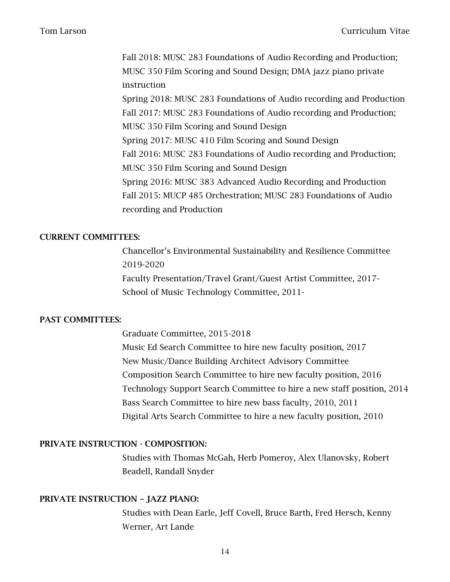Fall 2018: MUSC 283 Foundations of Audio Recording and Production; MUSC 350 Film Scoring and Sound Design; DMA jazz piano private instruction Spring 2018: MUSC 283 Foundations of Audio recording and Production Fall 2017: MUSC 283 Foundations of Audio recording and Production; MUSC 350 Film Scoring and Sound Design Spring 2017: MUSC 410 Film Scoring and Sound Design Fall 2016: MUSC 283 Foundations of Audio recording and Production; MUSC 350 Film Scoring and Sound Design Spring 2016: MUSC 383 Advanced Audio Recording and Production Fall 2015: MUCP 485 Orchestration; MUSC 283 Foundations of Audio recording and Production

### CURRENT COMMITTEES:

Chancellor's Environmental Sustainability and Resilience Committee 2019-2020 Faculty Presentation/Travel Grant/Guest Artist Committee, 2017- School of Music Technology Committee, 2011-

## PAST COMMITTEES:

Graduate Committee, 2015-2018 Music Ed Search Committee to hire new faculty position, 2017 New Music/Dance Building Architect Advisory Committee Composition Search Committee to hire new faculty position, 2016 Technology Support Search Committee to hire a new staff position, 2014 Bass Search Committee to hire new bass faculty, 2010, 2011 Digital Arts Search Committee to hire a new faculty position, 2010

# PRIVATE INSTRUCTION - COMPOSITION:

Studies with Thomas McGah, Herb Pomeroy, Alex Ulanovsky, Robert Beadell, Randall Snyder

### PRIVATE INSTRUCTION – JAZZ PIANO:

Studies with Dean Earle, Jeff Covell, Bruce Barth, Fred Hersch, Kenny Werner, Art Lande

14